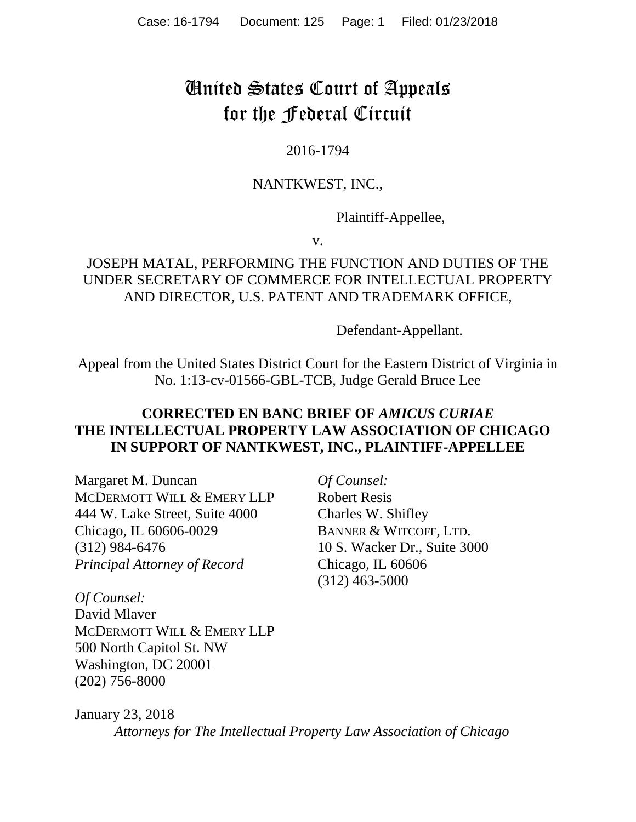# United States Court of Appeals for the Federal Circuit

#### 2016-1794

### NANTKWEST, INC.,

Plaintiff-Appellee,

v.

## JOSEPH MATAL, PERFORMING THE FUNCTION AND DUTIES OF THE UNDER SECRETARY OF COMMERCE FOR INTELLECTUAL PROPERTY AND DIRECTOR, U.S. PATENT AND TRADEMARK OFFICE,

Defendant-Appellant.

Appeal from the United States District Court for the Eastern District of Virginia in No. 1:13-cv-01566-GBL-TCB, Judge Gerald Bruce Lee

## **CORRECTED EN BANC BRIEF OF** *AMICUS CURIAE*  **THE INTELLECTUAL PROPERTY LAW ASSOCIATION OF CHICAGO IN SUPPORT OF NANTKWEST, INC., PLAINTIFF-APPELLEE**

Margaret M. Duncan MCDERMOTT WILL & EMERY LLP 444 W. Lake Street, Suite 4000 Chicago, IL 60606-0029 (312) 984-6476 *Principal Attorney of Record* 

*Of Counsel:*  Robert Resis Charles W. Shifley BANNER & WITCOFF, LTD. 10 S. Wacker Dr., Suite 3000 Chicago, IL 60606 (312) 463-5000

*Of Counsel:*  David Mlaver MCDERMOTT WILL & EMERY LLP 500 North Capitol St. NW Washington, DC 20001 (202) 756-8000

January 23, 2018 *Attorneys for The Intellectual Property Law Association of Chicago*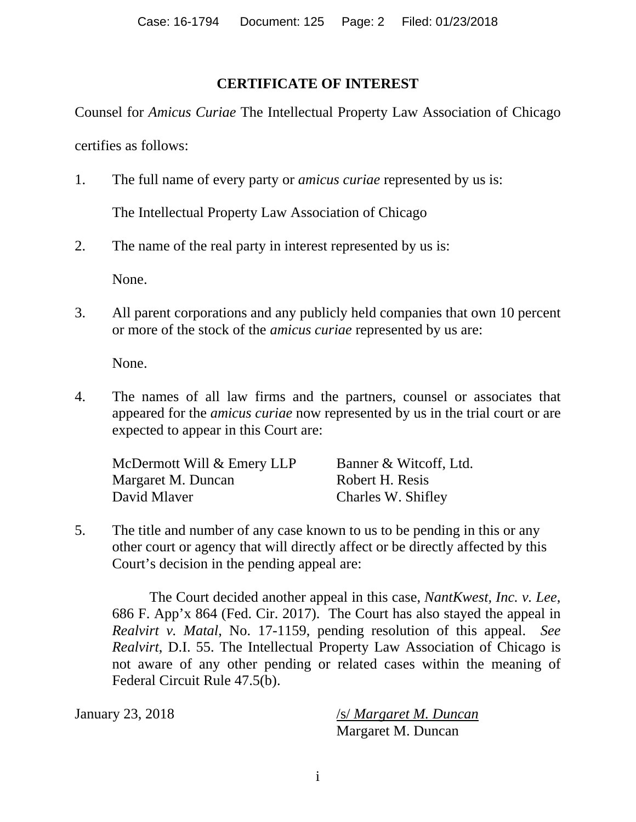#### **CERTIFICATE OF INTEREST**

Counsel for *Amicus Curiae* The Intellectual Property Law Association of Chicago certifies as follows:

1. The full name of every party or *amicus curiae* represented by us is:

The Intellectual Property Law Association of Chicago

2. The name of the real party in interest represented by us is:

None.

3. All parent corporations and any publicly held companies that own 10 percent or more of the stock of the *amicus curiae* represented by us are:

None.

4. The names of all law firms and the partners, counsel or associates that appeared for the *amicus curiae* now represented by us in the trial court or are expected to appear in this Court are:

| McDermott Will & Emery LLP | Banner & Witcoff, Ltd. |
|----------------------------|------------------------|
| Margaret M. Duncan         | Robert H. Resis        |
| David Mlaver               | Charles W. Shifley     |

5. The title and number of any case known to us to be pending in this or any other court or agency that will directly affect or be directly affected by this Court's decision in the pending appeal are:

The Court decided another appeal in this case, *NantKwest, Inc. v. Lee*, 686 F. App'x 864 (Fed. Cir. 2017). The Court has also stayed the appeal in *Realvirt v. Matal*, No. 17-1159, pending resolution of this appeal. *See Realvirt*, D.I. 55. The Intellectual Property Law Association of Chicago is not aware of any other pending or related cases within the meaning of Federal Circuit Rule 47.5(b).

January 23, 2018 /s/ *Margaret M. Duncan* Margaret M. Duncan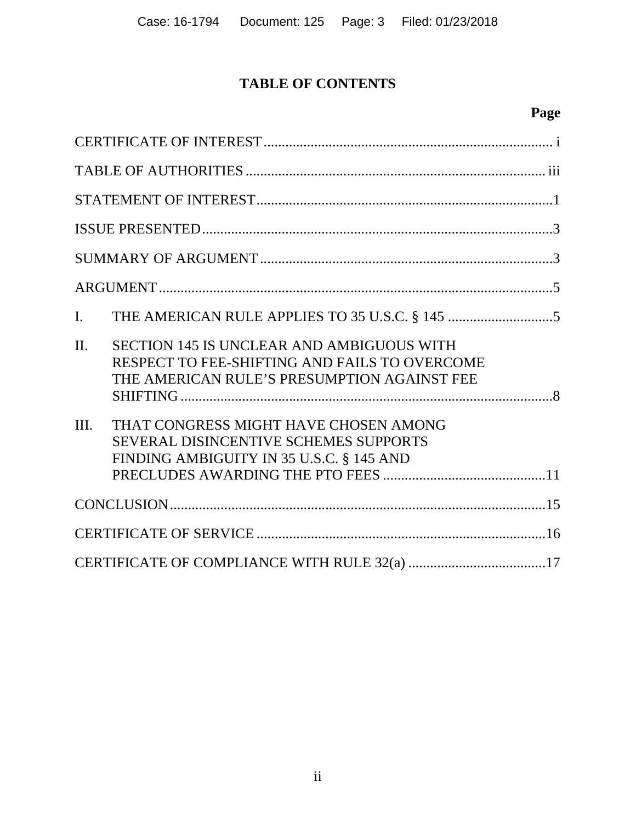# **TABLE OF CONTENTS**

# **Page**

| I.                                                                                                                                                          |  |
|-------------------------------------------------------------------------------------------------------------------------------------------------------------|--|
| $\Pi$ .<br><b>SECTION 145 IS UNCLEAR AND AMBIGUOUS WITH</b><br>RESPECT TO FEE-SHIFTING AND FAILS TO OVERCOME<br>THE AMERICAN RULE'S PRESUMPTION AGAINST FEE |  |
| THAT CONGRESS MIGHT HAVE CHOSEN AMONG<br>III.<br><b>SEVERAL DISINCENTIVE SCHEMES SUPPORTS</b><br>FINDING AMBIGUITY IN 35 U.S.C. § 145 AND                   |  |
|                                                                                                                                                             |  |
|                                                                                                                                                             |  |
|                                                                                                                                                             |  |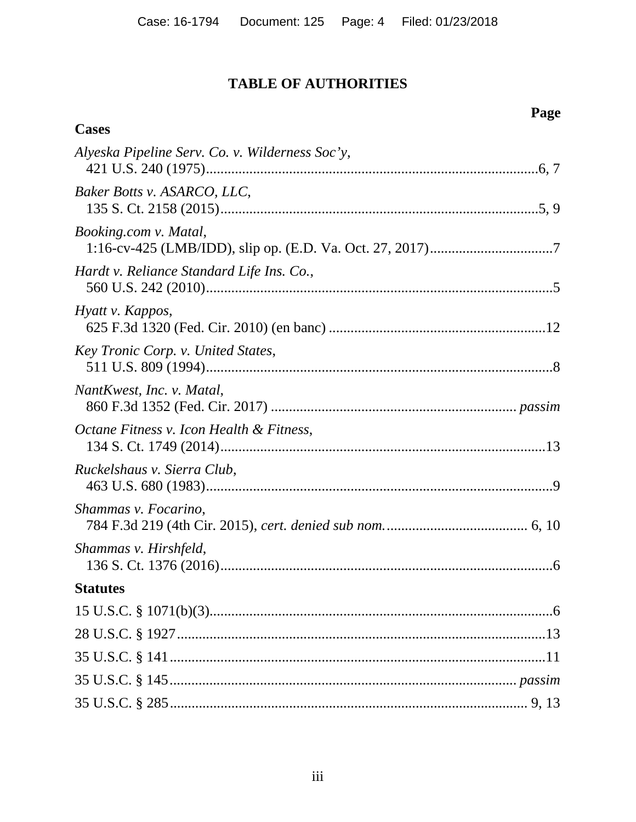# TABLE OF AUTHORITIES

**Cases** 

| Alyeska Pipeline Serv. Co. v. Wilderness Soc'y, |
|-------------------------------------------------|
| Baker Botts v. ASARCO, LLC,                     |
| <i>Booking.com v. Matal,</i>                    |
| Hardt v. Reliance Standard Life Ins. Co.,       |
| Hyatt v. Kappos,                                |
| Key Tronic Corp. v. United States,              |
| NantKwest, Inc. v. Matal,                       |
| Octane Fitness v. Icon Health & Fitness,        |
| Ruckelshaus v. Sierra Club,                     |
| Shammas v. Focarino,                            |
| Shammas v. Hirshfeld,                           |
| <b>Statutes</b>                                 |
|                                                 |
|                                                 |
|                                                 |
|                                                 |
|                                                 |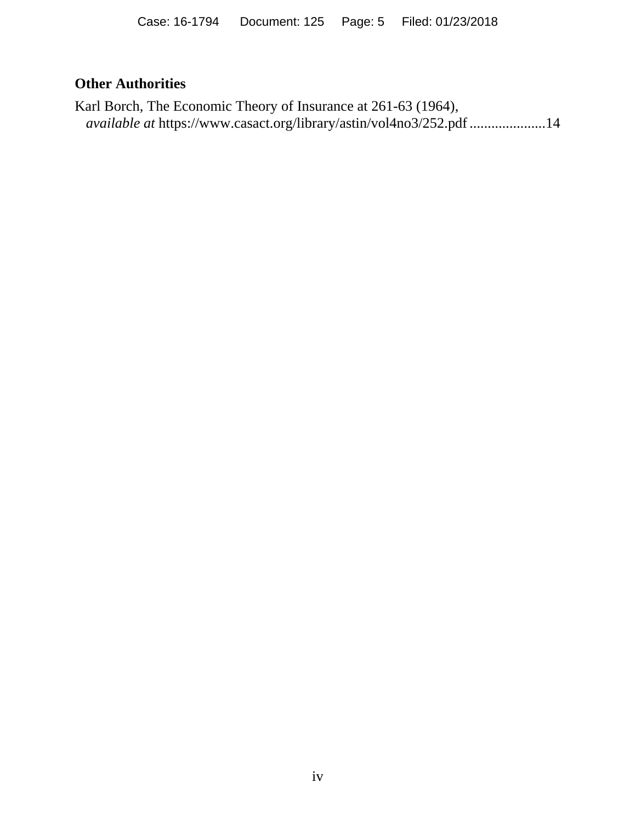### **Other Authorities**

Karl Borch*,* The Economic Theory of Insurance at 261-63 (1964), *available at* https://www.casact.org/library/astin/vol4no3/252.pdf ..................... 14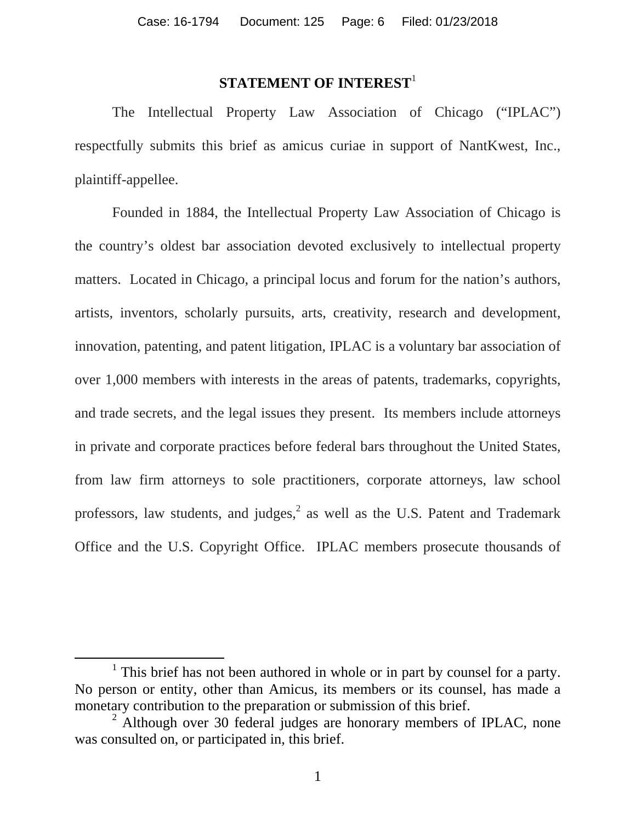#### **STATEMENT OF INTEREST**<sup>1</sup>

The Intellectual Property Law Association of Chicago ("IPLAC") respectfully submits this brief as amicus curiae in support of NantKwest, Inc., plaintiff-appellee.

Founded in 1884, the Intellectual Property Law Association of Chicago is the country's oldest bar association devoted exclusively to intellectual property matters. Located in Chicago, a principal locus and forum for the nation's authors, artists, inventors, scholarly pursuits, arts, creativity, research and development, innovation, patenting, and patent litigation, IPLAC is a voluntary bar association of over 1,000 members with interests in the areas of patents, trademarks, copyrights, and trade secrets, and the legal issues they present. Its members include attorneys in private and corporate practices before federal bars throughout the United States, from law firm attorneys to sole practitioners, corporate attorneys, law school professors, law students, and judges,  $2$  as well as the U.S. Patent and Trademark Office and the U.S. Copyright Office. IPLAC members prosecute thousands of

<sup>&</sup>lt;sup>1</sup> This brief has not been authored in whole or in part by counsel for a party. No person or entity, other than Amicus, its members or its counsel, has made a monetary contribution to the preparation or submission of this brief.

<sup>&</sup>lt;sup>2</sup> Although over 30 federal judges are honorary members of IPLAC, none was consulted on, or participated in, this brief.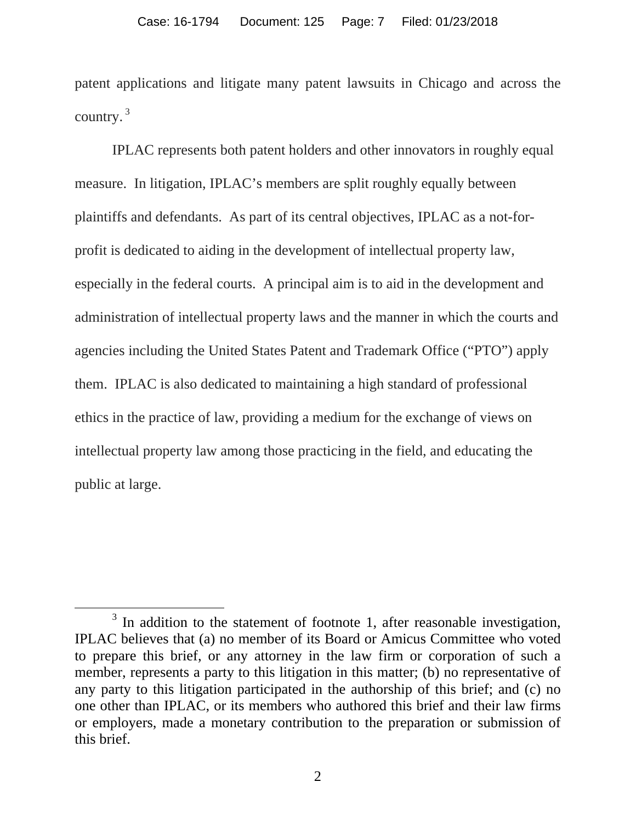patent applications and litigate many patent lawsuits in Chicago and across the country. 3

IPLAC represents both patent holders and other innovators in roughly equal measure. In litigation, IPLAC's members are split roughly equally between plaintiffs and defendants. As part of its central objectives, IPLAC as a not-forprofit is dedicated to aiding in the development of intellectual property law, especially in the federal courts. A principal aim is to aid in the development and administration of intellectual property laws and the manner in which the courts and agencies including the United States Patent and Trademark Office ("PTO") apply them. IPLAC is also dedicated to maintaining a high standard of professional ethics in the practice of law, providing a medium for the exchange of views on intellectual property law among those practicing in the field, and educating the public at large.

<sup>&</sup>lt;sup>3</sup> In addition to the statement of footnote 1, after reasonable investigation, IPLAC believes that (a) no member of its Board or Amicus Committee who voted to prepare this brief, or any attorney in the law firm or corporation of such a member, represents a party to this litigation in this matter; (b) no representative of any party to this litigation participated in the authorship of this brief; and (c) no one other than IPLAC, or its members who authored this brief and their law firms or employers, made a monetary contribution to the preparation or submission of this brief.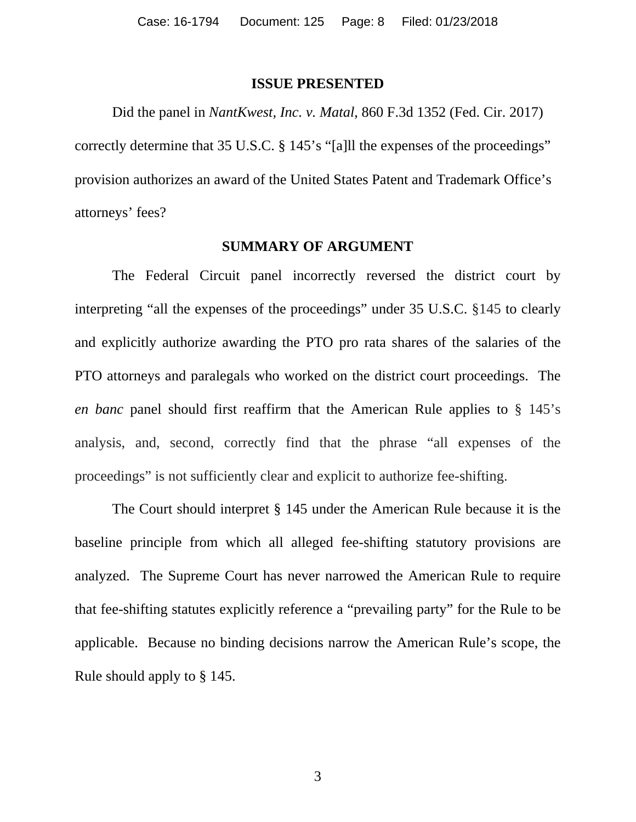#### **ISSUE PRESENTED**

Did the panel in *NantKwest, Inc. v. Matal*, 860 F.3d 1352 (Fed. Cir. 2017) correctly determine that 35 U.S.C. § 145's "[a]ll the expenses of the proceedings" provision authorizes an award of the United States Patent and Trademark Office's attorneys' fees?

#### **SUMMARY OF ARGUMENT**

The Federal Circuit panel incorrectly reversed the district court by interpreting "all the expenses of the proceedings" under 35 U.S.C. §145 to clearly and explicitly authorize awarding the PTO pro rata shares of the salaries of the PTO attorneys and paralegals who worked on the district court proceedings. The *en banc* panel should first reaffirm that the American Rule applies to § 145's analysis, and, second, correctly find that the phrase "all expenses of the proceedings" is not sufficiently clear and explicit to authorize fee-shifting.

The Court should interpret § 145 under the American Rule because it is the baseline principle from which all alleged fee-shifting statutory provisions are analyzed. The Supreme Court has never narrowed the American Rule to require that fee-shifting statutes explicitly reference a "prevailing party" for the Rule to be applicable. Because no binding decisions narrow the American Rule's scope, the Rule should apply to § 145.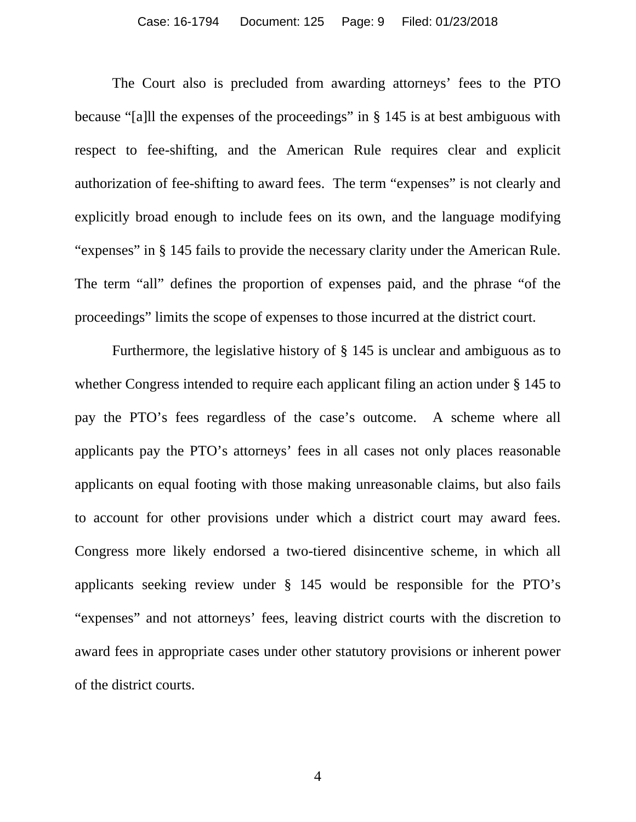The Court also is precluded from awarding attorneys' fees to the PTO because "[a]ll the expenses of the proceedings" in § 145 is at best ambiguous with respect to fee-shifting, and the American Rule requires clear and explicit authorization of fee-shifting to award fees. The term "expenses" is not clearly and explicitly broad enough to include fees on its own, and the language modifying "expenses" in § 145 fails to provide the necessary clarity under the American Rule. The term "all" defines the proportion of expenses paid, and the phrase "of the proceedings" limits the scope of expenses to those incurred at the district court.

Furthermore, the legislative history of § 145 is unclear and ambiguous as to whether Congress intended to require each applicant filing an action under § 145 to pay the PTO's fees regardless of the case's outcome. A scheme where all applicants pay the PTO's attorneys' fees in all cases not only places reasonable applicants on equal footing with those making unreasonable claims, but also fails to account for other provisions under which a district court may award fees. Congress more likely endorsed a two-tiered disincentive scheme, in which all applicants seeking review under § 145 would be responsible for the PTO's "expenses" and not attorneys' fees, leaving district courts with the discretion to award fees in appropriate cases under other statutory provisions or inherent power of the district courts.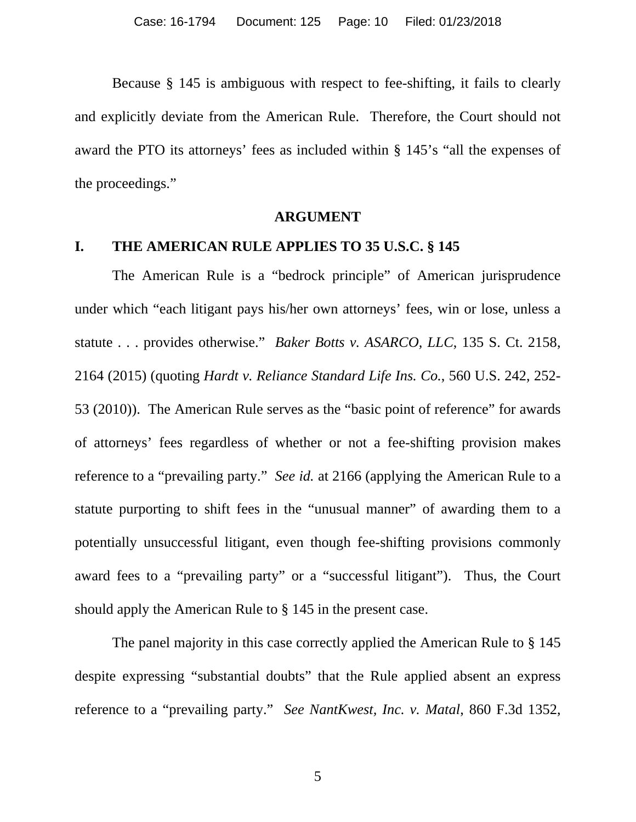Because § 145 is ambiguous with respect to fee-shifting, it fails to clearly and explicitly deviate from the American Rule. Therefore, the Court should not award the PTO its attorneys' fees as included within § 145's "all the expenses of the proceedings."

#### **ARGUMENT**

#### **I. THE AMERICAN RULE APPLIES TO 35 U.S.C. § 145**

The American Rule is a "bedrock principle" of American jurisprudence under which "each litigant pays his/her own attorneys' fees, win or lose, unless a statute . . . provides otherwise." *Baker Botts v. ASARCO, LLC*, 135 S. Ct. 2158, 2164 (2015) (quoting *Hardt v. Reliance Standard Life Ins. Co.*, 560 U.S. 242, 252- 53 (2010)). The American Rule serves as the "basic point of reference" for awards of attorneys' fees regardless of whether or not a fee-shifting provision makes reference to a "prevailing party." *See id.* at 2166 (applying the American Rule to a statute purporting to shift fees in the "unusual manner" of awarding them to a potentially unsuccessful litigant, even though fee-shifting provisions commonly award fees to a "prevailing party" or a "successful litigant"). Thus, the Court should apply the American Rule to § 145 in the present case.

The panel majority in this case correctly applied the American Rule to § 145 despite expressing "substantial doubts" that the Rule applied absent an express reference to a "prevailing party." *See NantKwest, Inc. v. Matal*, 860 F.3d 1352,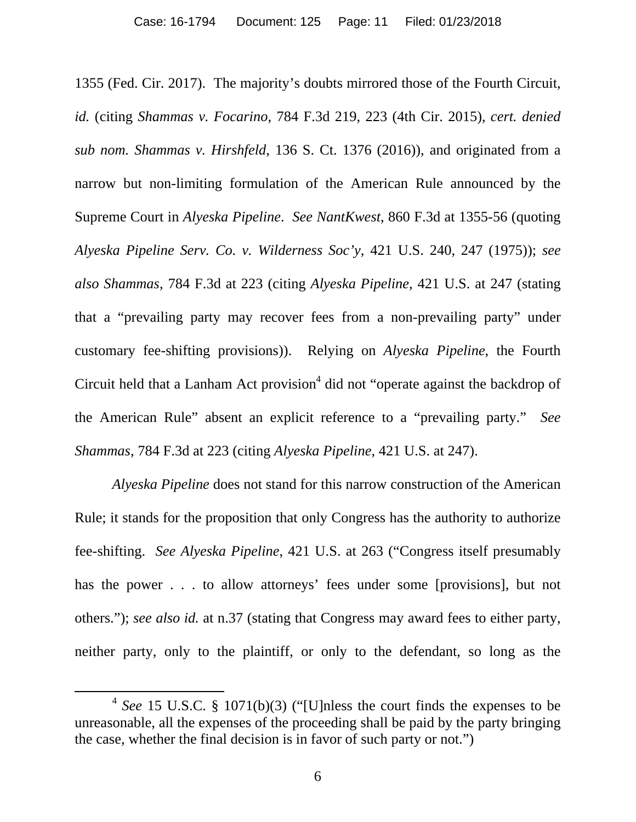1355 (Fed. Cir. 2017). The majority's doubts mirrored those of the Fourth Circuit, *id.* (citing *Shammas v. Focarino*, 784 F.3d 219, 223 (4th Cir. 2015), *cert. denied sub nom. Shammas v. Hirshfeld*, 136 S. Ct. 1376 (2016)), and originated from a narrow but non-limiting formulation of the American Rule announced by the Supreme Court in *Alyeska Pipeline*. *See NantKwest*, 860 F.3d at 1355-56 (quoting *Alyeska Pipeline Serv. Co. v. Wilderness Soc'y*, 421 U.S. 240, 247 (1975)); *see also Shammas*, 784 F.3d at 223 (citing *Alyeska Pipeline,* 421 U.S. at 247 (stating that a "prevailing party may recover fees from a non-prevailing party" under customary fee-shifting provisions)). Relying on *Alyeska Pipeline*, the Fourth Circuit held that a Lanham Act provision<sup>4</sup> did not "operate against the backdrop of the American Rule" absent an explicit reference to a "prevailing party." *See Shammas*, 784 F.3d at 223 (citing *Alyeska Pipeline*, 421 U.S. at 247).

*Alyeska Pipeline* does not stand for this narrow construction of the American Rule; it stands for the proposition that only Congress has the authority to authorize fee-shifting. *See Alyeska Pipeline*, 421 U.S. at 263 ("Congress itself presumably has the power . . . to allow attorneys' fees under some [provisions], but not others."); *see also id.* at n.37 (stating that Congress may award fees to either party, neither party, only to the plaintiff, or only to the defendant, so long as the

 <sup>4</sup> *See* 15 U.S.C. § 1071(b)(3) ("[U]nless the court finds the expenses to be unreasonable, all the expenses of the proceeding shall be paid by the party bringing the case, whether the final decision is in favor of such party or not.")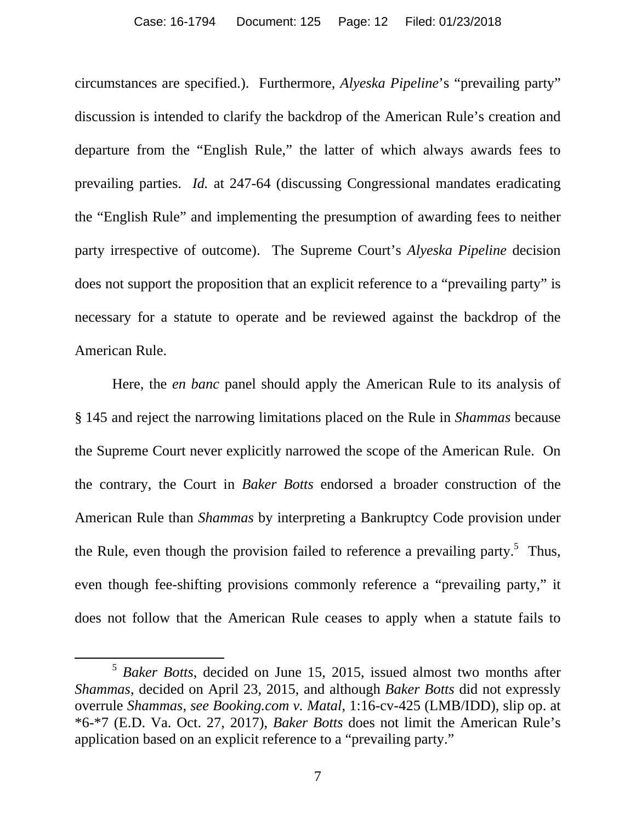circumstances are specified.). Furthermore, *Alyeska Pipeline*'s "prevailing party" discussion is intended to clarify the backdrop of the American Rule's creation and departure from the "English Rule," the latter of which always awards fees to prevailing parties. *Id.* at 247-64 (discussing Congressional mandates eradicating the "English Rule" and implementing the presumption of awarding fees to neither party irrespective of outcome). The Supreme Court's *Alyeska Pipeline* decision does not support the proposition that an explicit reference to a "prevailing party" is necessary for a statute to operate and be reviewed against the backdrop of the American Rule.

Here, the *en banc* panel should apply the American Rule to its analysis of § 145 and reject the narrowing limitations placed on the Rule in *Shammas* because the Supreme Court never explicitly narrowed the scope of the American Rule. On the contrary, the Court in *Baker Botts* endorsed a broader construction of the American Rule than *Shammas* by interpreting a Bankruptcy Code provision under the Rule, even though the provision failed to reference a prevailing party.<sup>5</sup> Thus, even though fee-shifting provisions commonly reference a "prevailing party," it does not follow that the American Rule ceases to apply when a statute fails to

 <sup>5</sup> *Baker Botts*, decided on June 15, 2015, issued almost two months after *Shammas*, decided on April 23, 2015, and although *Baker Botts* did not expressly overrule *Shammas*, *see Booking.com v. Matal*, 1:16-cv-425 (LMB/IDD), slip op. at \*6-\*7 (E.D. Va. Oct. 27, 2017), *Baker Botts* does not limit the American Rule's application based on an explicit reference to a "prevailing party."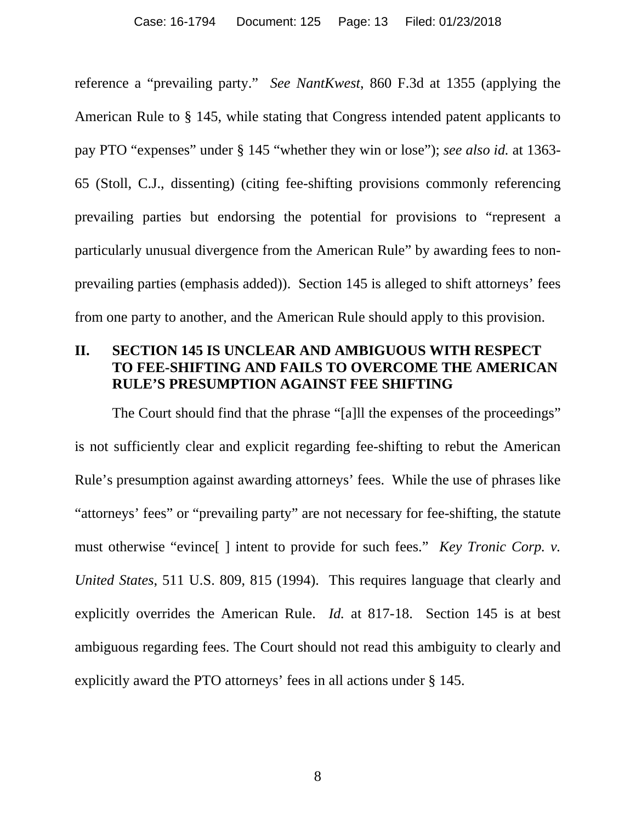reference a "prevailing party." *See NantKwest*, 860 F.3d at 1355 (applying the American Rule to § 145, while stating that Congress intended patent applicants to pay PTO "expenses" under § 145 "whether they win or lose"); *see also id.* at 1363- 65 (Stoll, C.J., dissenting) (citing fee-shifting provisions commonly referencing prevailing parties but endorsing the potential for provisions to "represent a particularly unusual divergence from the American Rule" by awarding fees to nonprevailing parties (emphasis added)). Section 145 is alleged to shift attorneys' fees from one party to another, and the American Rule should apply to this provision.

#### **II. SECTION 145 IS UNCLEAR AND AMBIGUOUS WITH RESPECT TO FEE-SHIFTING AND FAILS TO OVERCOME THE AMERICAN RULE'S PRESUMPTION AGAINST FEE SHIFTING**

The Court should find that the phrase "[a]ll the expenses of the proceedings" is not sufficiently clear and explicit regarding fee-shifting to rebut the American Rule's presumption against awarding attorneys' fees. While the use of phrases like "attorneys' fees" or "prevailing party" are not necessary for fee-shifting, the statute must otherwise "evince[ ] intent to provide for such fees." *Key Tronic Corp. v. United States*, 511 U.S. 809, 815 (1994). This requires language that clearly and explicitly overrides the American Rule. *Id.* at 817-18. Section 145 is at best ambiguous regarding fees. The Court should not read this ambiguity to clearly and explicitly award the PTO attorneys' fees in all actions under § 145.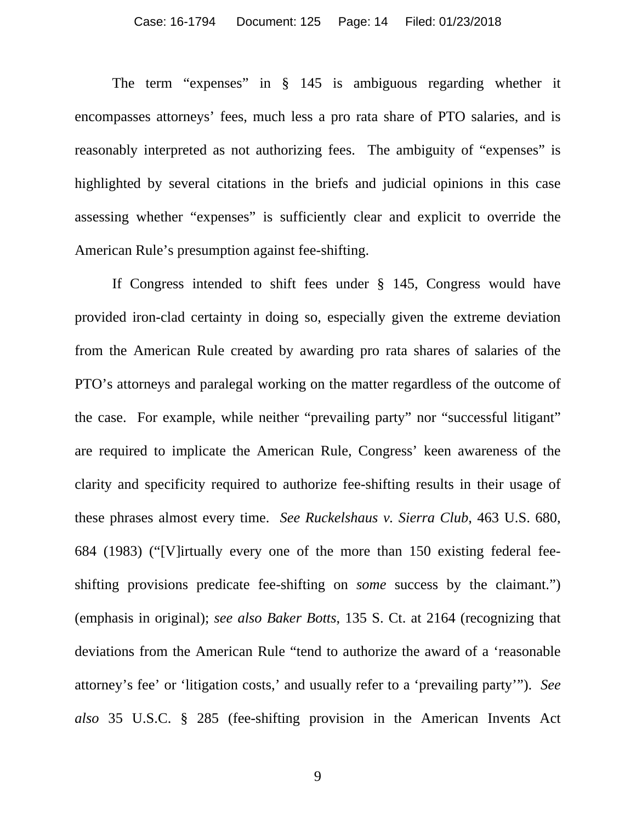The term "expenses" in § 145 is ambiguous regarding whether it encompasses attorneys' fees, much less a pro rata share of PTO salaries, and is reasonably interpreted as not authorizing fees. The ambiguity of "expenses" is highlighted by several citations in the briefs and judicial opinions in this case assessing whether "expenses" is sufficiently clear and explicit to override the American Rule's presumption against fee-shifting.

If Congress intended to shift fees under § 145, Congress would have provided iron-clad certainty in doing so, especially given the extreme deviation from the American Rule created by awarding pro rata shares of salaries of the PTO's attorneys and paralegal working on the matter regardless of the outcome of the case. For example, while neither "prevailing party" nor "successful litigant" are required to implicate the American Rule, Congress' keen awareness of the clarity and specificity required to authorize fee-shifting results in their usage of these phrases almost every time. *See Ruckelshaus v. Sierra Club*, 463 U.S. 680, 684 (1983) ("[V]irtually every one of the more than 150 existing federal feeshifting provisions predicate fee-shifting on *some* success by the claimant.") (emphasis in original); *see also Baker Botts*, 135 S. Ct. at 2164 (recognizing that deviations from the American Rule "tend to authorize the award of a 'reasonable attorney's fee' or 'litigation costs,' and usually refer to a 'prevailing party'"). *See also* 35 U.S.C. § 285 (fee-shifting provision in the American Invents Act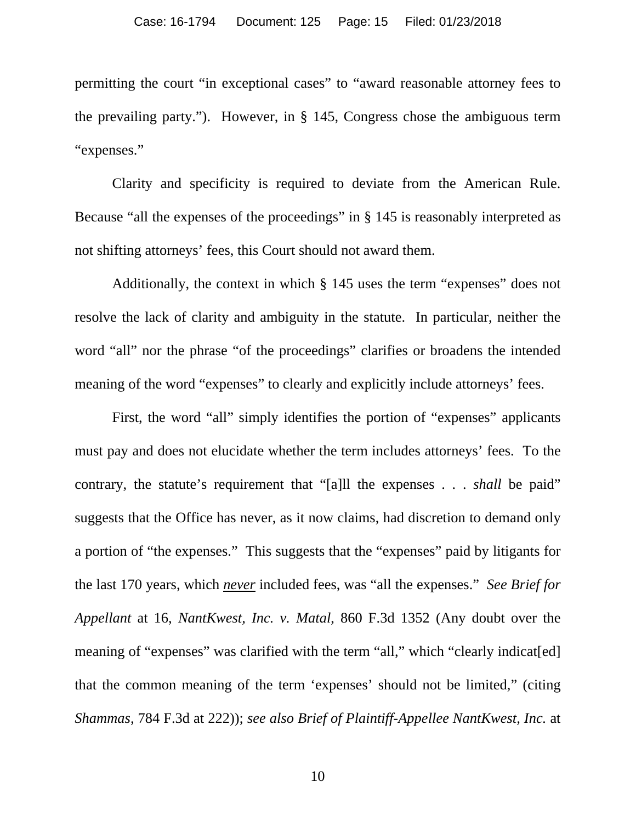permitting the court "in exceptional cases" to "award reasonable attorney fees to the prevailing party."). However, in § 145, Congress chose the ambiguous term "expenses."

Clarity and specificity is required to deviate from the American Rule. Because "all the expenses of the proceedings" in § 145 is reasonably interpreted as not shifting attorneys' fees, this Court should not award them.

Additionally, the context in which § 145 uses the term "expenses" does not resolve the lack of clarity and ambiguity in the statute. In particular, neither the word "all" nor the phrase "of the proceedings" clarifies or broadens the intended meaning of the word "expenses" to clearly and explicitly include attorneys' fees.

First, the word "all" simply identifies the portion of "expenses" applicants must pay and does not elucidate whether the term includes attorneys' fees. To the contrary, the statute's requirement that "[a]ll the expenses . . . *shall* be paid" suggests that the Office has never, as it now claims, had discretion to demand only a portion of "the expenses." This suggests that the "expenses" paid by litigants for the last 170 years, which *never* included fees, was "all the expenses." *See Brief for Appellant* at 16, *NantKwest, Inc. v. Matal*, 860 F.3d 1352 (Any doubt over the meaning of "expenses" was clarified with the term "all," which "clearly indicat[ed] that the common meaning of the term 'expenses' should not be limited," (citing *Shammas*, 784 F.3d at 222)); *see also Brief of Plaintiff-Appellee NantKwest, Inc.* at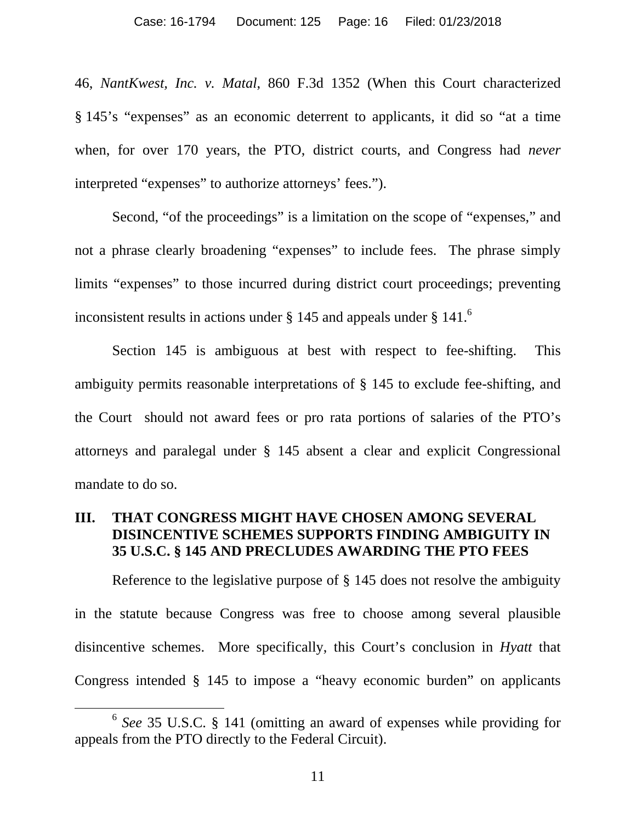46, *NantKwest, Inc. v. Matal*, 860 F.3d 1352 (When this Court characterized § 145's "expenses" as an economic deterrent to applicants, it did so "at a time when, for over 170 years, the PTO, district courts, and Congress had *never*  interpreted "expenses" to authorize attorneys' fees.").

Second, "of the proceedings" is a limitation on the scope of "expenses," and not a phrase clearly broadening "expenses" to include fees. The phrase simply limits "expenses" to those incurred during district court proceedings; preventing inconsistent results in actions under  $\S$  145 and appeals under  $\S$  141.<sup>6</sup>

Section 145 is ambiguous at best with respect to fee-shifting. This ambiguity permits reasonable interpretations of § 145 to exclude fee-shifting, and the Court should not award fees or pro rata portions of salaries of the PTO's attorneys and paralegal under § 145 absent a clear and explicit Congressional mandate to do so.

#### **III. THAT CONGRESS MIGHT HAVE CHOSEN AMONG SEVERAL DISINCENTIVE SCHEMES SUPPORTS FINDING AMBIGUITY IN 35 U.S.C. § 145 AND PRECLUDES AWARDING THE PTO FEES**

Reference to the legislative purpose of § 145 does not resolve the ambiguity in the statute because Congress was free to choose among several plausible disincentive schemes. More specifically, this Court's conclusion in *Hyatt* that Congress intended § 145 to impose a "heavy economic burden" on applicants

 <sup>6</sup> *See* 35 U.S.C. § 141 (omitting an award of expenses while providing for appeals from the PTO directly to the Federal Circuit).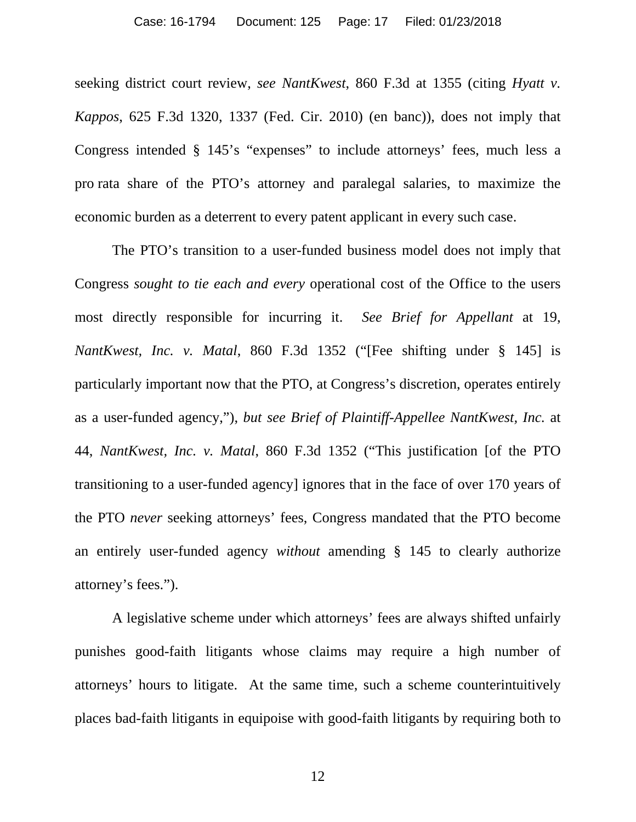seeking district court review, *see NantKwest*, 860 F.3d at 1355 (citing *Hyatt v. Kappos*, 625 F.3d 1320, 1337 (Fed. Cir. 2010) (en banc)), does not imply that Congress intended § 145's "expenses" to include attorneys' fees, much less a pro rata share of the PTO's attorney and paralegal salaries, to maximize the economic burden as a deterrent to every patent applicant in every such case.

The PTO's transition to a user-funded business model does not imply that Congress *sought to tie each and every* operational cost of the Office to the users most directly responsible for incurring it. *See Brief for Appellant* at 19, *NantKwest, Inc. v. Matal*, 860 F.3d 1352 ("[Fee shifting under § 145] is particularly important now that the PTO, at Congress's discretion, operates entirely as a user-funded agency,"), *but see Brief of Plaintiff-Appellee NantKwest, Inc.* at 44, *NantKwest, Inc. v. Matal*, 860 F.3d 1352 ("This justification [of the PTO transitioning to a user-funded agency] ignores that in the face of over 170 years of the PTO *never* seeking attorneys' fees, Congress mandated that the PTO become an entirely user-funded agency *without* amending § 145 to clearly authorize attorney's fees.").

A legislative scheme under which attorneys' fees are always shifted unfairly punishes good-faith litigants whose claims may require a high number of attorneys' hours to litigate. At the same time, such a scheme counterintuitively places bad-faith litigants in equipoise with good-faith litigants by requiring both to

12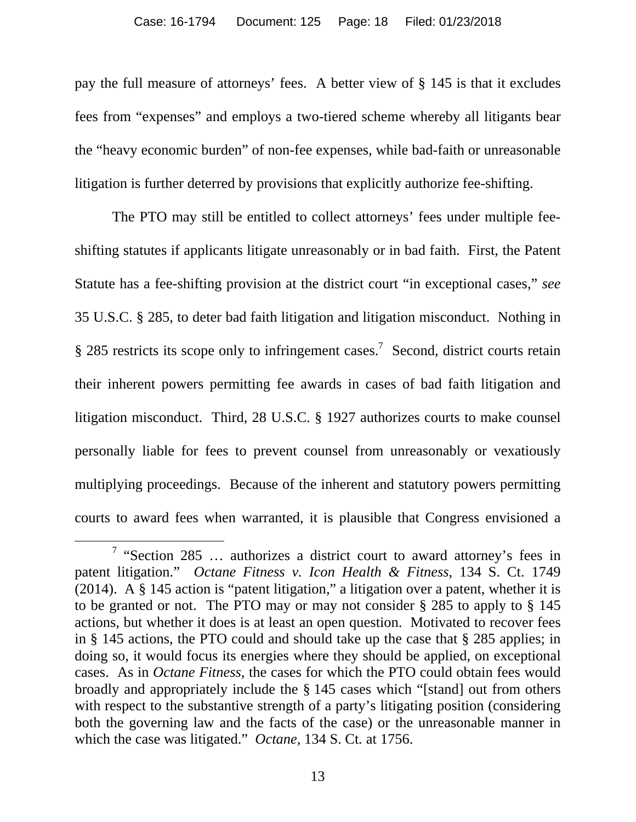pay the full measure of attorneys' fees. A better view of § 145 is that it excludes fees from "expenses" and employs a two-tiered scheme whereby all litigants bear the "heavy economic burden" of non-fee expenses, while bad-faith or unreasonable litigation is further deterred by provisions that explicitly authorize fee-shifting.

The PTO may still be entitled to collect attorneys' fees under multiple feeshifting statutes if applicants litigate unreasonably or in bad faith. First, the Patent Statute has a fee-shifting provision at the district court "in exceptional cases," *see* 35 U.S.C. § 285, to deter bad faith litigation and litigation misconduct. Nothing in  $§$  285 restricts its scope only to infringement cases.<sup>7</sup> Second, district courts retain their inherent powers permitting fee awards in cases of bad faith litigation and litigation misconduct. Third, 28 U.S.C. § 1927 authorizes courts to make counsel personally liable for fees to prevent counsel from unreasonably or vexatiously multiplying proceedings. Because of the inherent and statutory powers permitting courts to award fees when warranted, it is plausible that Congress envisioned a

<sup>&</sup>lt;sup>7</sup> "Section 285 ... authorizes a district court to award attorney's fees in patent litigation." *Octane Fitness v. Icon Health & Fitness*, 134 S. Ct. 1749 (2014). A § 145 action is "patent litigation," a litigation over a patent, whether it is to be granted or not. The PTO may or may not consider § 285 to apply to § 145 actions, but whether it does is at least an open question. Motivated to recover fees in § 145 actions, the PTO could and should take up the case that § 285 applies; in doing so, it would focus its energies where they should be applied, on exceptional cases. As in *Octane Fitness*, the cases for which the PTO could obtain fees would broadly and appropriately include the § 145 cases which "[stand] out from others with respect to the substantive strength of a party's litigating position (considering both the governing law and the facts of the case) or the unreasonable manner in which the case was litigated." *Octane,* 134 S. Ct*.* at 1756.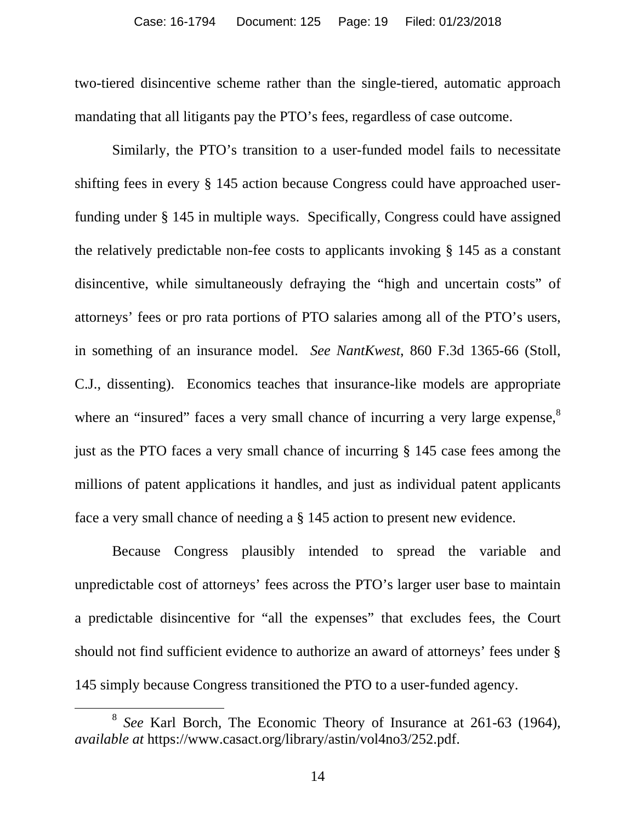two-tiered disincentive scheme rather than the single-tiered, automatic approach mandating that all litigants pay the PTO's fees, regardless of case outcome.

Similarly, the PTO's transition to a user-funded model fails to necessitate shifting fees in every § 145 action because Congress could have approached userfunding under § 145 in multiple ways. Specifically, Congress could have assigned the relatively predictable non-fee costs to applicants invoking § 145 as a constant disincentive, while simultaneously defraying the "high and uncertain costs" of attorneys' fees or pro rata portions of PTO salaries among all of the PTO's users, in something of an insurance model. *See NantKwest*, 860 F.3d 1365-66 (Stoll, C.J., dissenting). Economics teaches that insurance-like models are appropriate where an "insured" faces a very small chance of incurring a very large expense,<sup>8</sup> just as the PTO faces a very small chance of incurring § 145 case fees among the millions of patent applications it handles, and just as individual patent applicants face a very small chance of needing a § 145 action to present new evidence.

Because Congress plausibly intended to spread the variable and unpredictable cost of attorneys' fees across the PTO's larger user base to maintain a predictable disincentive for "all the expenses" that excludes fees, the Court should not find sufficient evidence to authorize an award of attorneys' fees under § 145 simply because Congress transitioned the PTO to a user-funded agency.

 <sup>8</sup> *See* Karl Borch*,* The Economic Theory of Insurance at 261-63 (1964), *available at* https://www.casact.org/library/astin/vol4no3/252.pdf.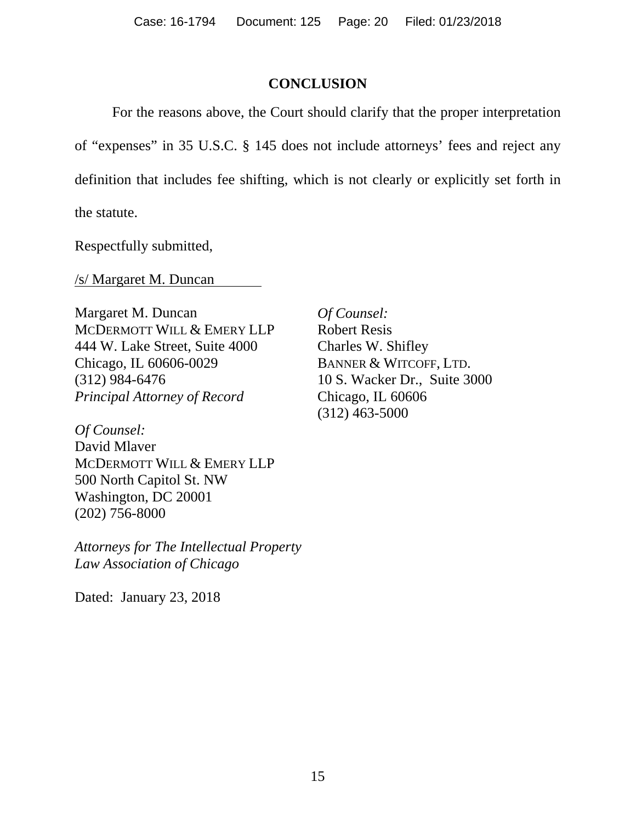#### **CONCLUSION**

For the reasons above, the Court should clarify that the proper interpretation of "expenses" in 35 U.S.C. § 145 does not include attorneys' fees and reject any definition that includes fee shifting, which is not clearly or explicitly set forth in the statute.

Respectfully submitted,

/s/ Margaret M. Duncan

Margaret M. Duncan MCDERMOTT WILL & EMERY LLP 444 W. Lake Street, Suite 4000 Chicago, IL 60606-0029 (312) 984-6476 *Principal Attorney of Record* 

*Of Counsel:*  David Mlaver MCDERMOTT WILL & EMERY LLP 500 North Capitol St. NW Washington, DC 20001 (202) 756-8000

*Attorneys for The Intellectual Property Law Association of Chicago* 

Dated: January 23, 2018

*Of Counsel:*  Robert Resis Charles W. Shifley BANNER & WITCOFF, LTD. 10 S. Wacker Dr., Suite 3000 Chicago, IL 60606 (312) 463-5000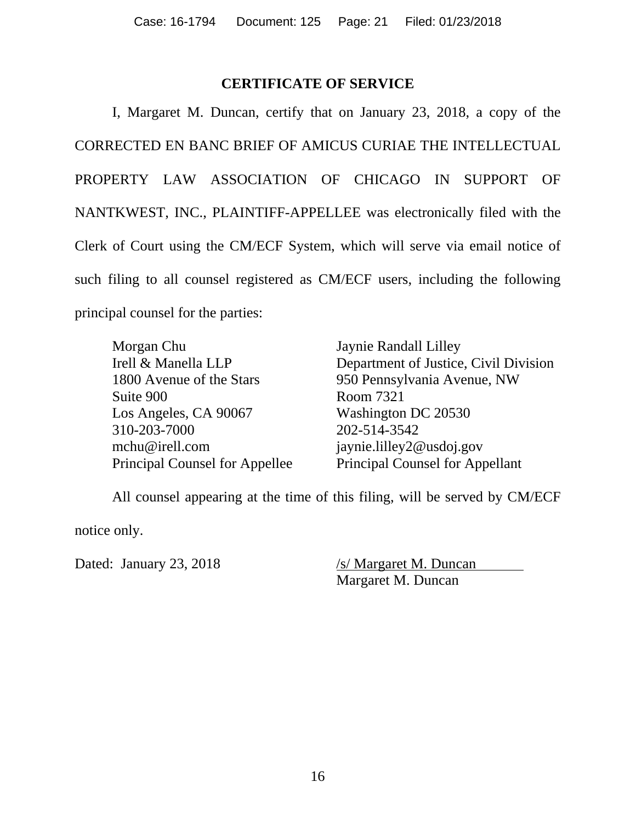#### **CERTIFICATE OF SERVICE**

I, Margaret M. Duncan, certify that on January 23, 2018, a copy of the CORRECTED EN BANC BRIEF OF AMICUS CURIAE THE INTELLECTUAL PROPERTY LAW ASSOCIATION OF CHICAGO IN SUPPORT OF NANTKWEST, INC., PLAINTIFF-APPELLEE was electronically filed with the Clerk of Court using the CM/ECF System, which will serve via email notice of such filing to all counsel registered as CM/ECF users, including the following principal counsel for the parties:

Morgan Chu Jaynie Randall Lilley Suite 900 Room 7321 Los Angeles, CA 90067 Washington DC 20530 310-203-7000 202-514-3542 mchu@irell.com jaynie.lilley2@usdoj.gov

Irell & Manella LLP Department of Justice, Civil Division 1800 Avenue of the Stars 950 Pennsylvania Avenue, NW Principal Counsel for Appellee Principal Counsel for Appellant

All counsel appearing at the time of this filing, will be served by CM/ECF

notice only.

Dated: January 23, 2018 /s/ Margaret M. Duncan Margaret M. Duncan